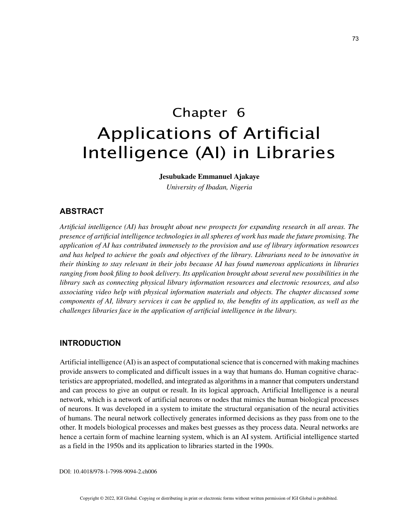# Chapter 6 Applications of Artificial Intelligence (AI) in Libraries

**Jesubukade Emmanuel Ajakaye**

*University of Ibadan, Nigeria*

# **ABSTRACT**

*Artificial intelligence (AI) has brought about new prospects for expanding research in all areas. The presence of artificial intelligence technologies in all spheres of work has made the future promising. The application of AI has contributed immensely to the provision and use of library information resources and has helped to achieve the goals and objectives of the library. Librarians need to be innovative in their thinking to stay relevant in their jobs because AI has found numerous applications in libraries ranging from book filing to book delivery. Its application brought about several new possibilities in the library such as connecting physical library information resources and electronic resources, and also associating video help with physical information materials and objects. The chapter discussed some components of AI, library services it can be applied to, the benefits of its application, as well as the challenges libraries face in the application of artificial intelligence in the library.*

## **INTRODUCTION**

Artificial intelligence (AI) is an aspect of computational science that is concerned with making machines provide answers to complicated and difficult issues in a way that humans do. Human cognitive characteristics are appropriated, modelled, and integrated as algorithms in a manner that computers understand and can process to give an output or result. In its logical approach, Artificial Intelligence is a neural network, which is a network of artificial neurons or nodes that mimics the human biological processes of neurons. It was developed in a system to imitate the structural organisation of the neural activities of humans. The neural network collectively generates informed decisions as they pass from one to the other. It models biological processes and makes best guesses as they process data. Neural networks are hence a certain form of machine learning system, which is an AI system. Artificial intelligence started as a field in the 1950s and its application to libraries started in the 1990s.

DOI: 10.4018/978-1-7998-9094-2.ch006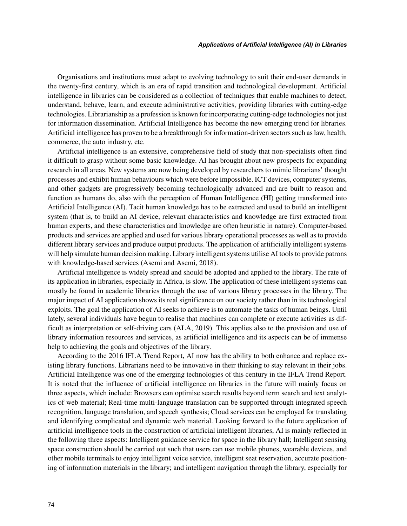Organisations and institutions must adapt to evolving technology to suit their end-user demands in the twenty-first century, which is an era of rapid transition and technological development. Artificial intelligence in libraries can be considered as a collection of techniques that enable machines to detect, understand, behave, learn, and execute administrative activities, providing libraries with cutting-edge technologies. Librarianship as a profession is known for incorporating cutting-edge technologies not just for information dissemination. Artificial Intelligence has become the new emerging trend for libraries. Artificial intelligence has proven to be a breakthrough for information-driven sectors such as law, health, commerce, the auto industry, etc.

Artificial intelligence is an extensive, comprehensive field of study that non-specialists often find it difficult to grasp without some basic knowledge. AI has brought about new prospects for expanding research in all areas. New systems are now being developed by researchers to mimic librarians' thought processes and exhibit human behaviours which were before impossible. ICT devices, computer systems, and other gadgets are progressively becoming technologically advanced and are built to reason and function as humans do, also with the perception of Human Intelligence (HI) getting transformed into Artificial Intelligence (AI). Tacit human knowledge has to be extracted and used to build an intelligent system (that is, to build an AI device, relevant characteristics and knowledge are first extracted from human experts, and these characteristics and knowledge are often heuristic in nature). Computer-based products and services are applied and used for various library operational processes as well as to provide different library services and produce output products. The application of artificially intelligent systems will help simulate human decision making. Library intelligent systems utilise AI tools to provide patrons with knowledge-based services (Asemi and Asemi, 2018).

Artificial intelligence is widely spread and should be adopted and applied to the library. The rate of its application in libraries, especially in Africa, is slow. The application of these intelligent systems can mostly be found in academic libraries through the use of various library processes in the library. The major impact of AI application shows its real significance on our society rather than in its technological exploits. The goal the application of AI seeks to achieve is to automate the tasks of human beings. Until lately, several individuals have begun to realise that machines can complete or execute activities as difficult as interpretation or self-driving cars (ALA, 2019). This applies also to the provision and use of library information resources and services, as artificial intelligence and its aspects can be of immense help to achieving the goals and objectives of the library.

According to the 2016 IFLA Trend Report, AI now has the ability to both enhance and replace existing library functions. Librarians need to be innovative in their thinking to stay relevant in their jobs. Artificial Intelligence was one of the emerging technologies of this century in the IFLA Trend Report. It is noted that the influence of artificial intelligence on libraries in the future will mainly focus on three aspects, which include: Browsers can optimise search results beyond term search and text analytics of web material; Real-time multi-language translation can be supported through integrated speech recognition, language translation, and speech synthesis; Cloud services can be employed for translating and identifying complicated and dynamic web material. Looking forward to the future application of artificial intelligence tools in the construction of artificial intelligent libraries, AI is mainly reflected in the following three aspects: Intelligent guidance service for space in the library hall; Intelligent sensing space construction should be carried out such that users can use mobile phones, wearable devices, and other mobile terminals to enjoy intelligent voice service, intelligent seat reservation, accurate positioning of information materials in the library; and intelligent navigation through the library, especially for